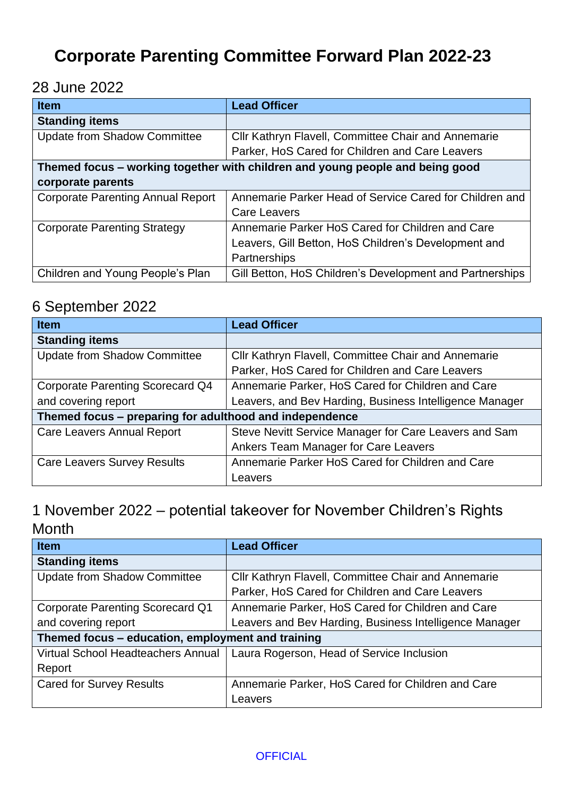# **Corporate Parenting Committee Forward Plan 2022-23**

28 June 2022

| <b>Item</b>                                                                   | <b>Lead Officer</b>                                      |
|-------------------------------------------------------------------------------|----------------------------------------------------------|
| <b>Standing items</b>                                                         |                                                          |
| <b>Update from Shadow Committee</b>                                           | Cllr Kathryn Flavell, Committee Chair and Annemarie      |
|                                                                               | Parker, HoS Cared for Children and Care Leavers          |
| Themed focus - working together with children and young people and being good |                                                          |
| corporate parents                                                             |                                                          |
| <b>Corporate Parenting Annual Report</b>                                      | Annemarie Parker Head of Service Cared for Children and  |
|                                                                               | <b>Care Leavers</b>                                      |
| <b>Corporate Parenting Strategy</b>                                           | Annemarie Parker HoS Cared for Children and Care         |
|                                                                               | Leavers, Gill Betton, HoS Children's Development and     |
|                                                                               | Partnerships                                             |
| Children and Young People's Plan                                              | Gill Betton, HoS Children's Development and Partnerships |

#### 6 September 2022

| <b>Item</b>                                             | <b>Lead Officer</b>                                     |
|---------------------------------------------------------|---------------------------------------------------------|
| <b>Standing items</b>                                   |                                                         |
| <b>Update from Shadow Committee</b>                     | Cllr Kathryn Flavell, Committee Chair and Annemarie     |
|                                                         | Parker, HoS Cared for Children and Care Leavers         |
| <b>Corporate Parenting Scorecard Q4</b>                 | Annemarie Parker, HoS Cared for Children and Care       |
| and covering report                                     | Leavers, and Bev Harding, Business Intelligence Manager |
| Themed focus – preparing for adulthood and independence |                                                         |
| <b>Care Leavers Annual Report</b>                       | Steve Nevitt Service Manager for Care Leavers and Sam   |
|                                                         | Ankers Team Manager for Care Leavers                    |
| <b>Care Leavers Survey Results</b>                      | Annemarie Parker HoS Cared for Children and Care        |
|                                                         | Leavers                                                 |

### 1 November 2022 – potential takeover for November Children's Rights Month

| <b>Item</b>                                       | <b>Lead Officer</b>                                                            |
|---------------------------------------------------|--------------------------------------------------------------------------------|
| <b>Standing items</b>                             |                                                                                |
| <b>Update from Shadow Committee</b>               | Cllr Kathryn Flavell, Committee Chair and Annemarie                            |
|                                                   | Parker, HoS Cared for Children and Care Leavers                                |
| <b>Corporate Parenting Scorecard Q1</b>           | Annemarie Parker, HoS Cared for Children and Care                              |
| and covering report                               | Leavers and Bev Harding, Business Intelligence Manager                         |
| Themed focus - education, employment and training |                                                                                |
|                                                   | Virtual School Headteachers Annual   Laura Rogerson, Head of Service Inclusion |
| Report                                            |                                                                                |
| <b>Cared for Survey Results</b>                   | Annemarie Parker, HoS Cared for Children and Care                              |
|                                                   | Leavers                                                                        |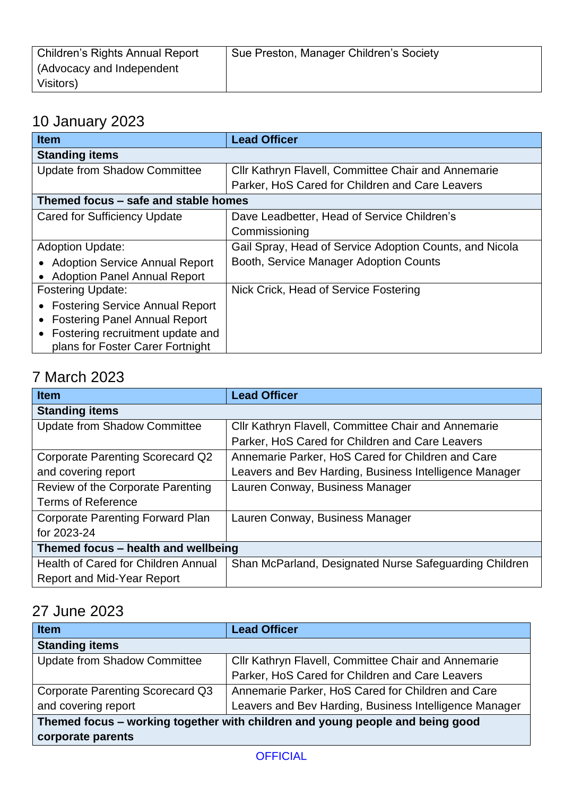| <b>Children's Rights Annual Report</b> | Sue Preston, Manager Children's Society |
|----------------------------------------|-----------------------------------------|
| (Advocacy and Independent              |                                         |
| Visitors)                              |                                         |

## 10 January 2023

| <b>Item</b>                            | <b>Lead Officer</b>                                     |
|----------------------------------------|---------------------------------------------------------|
| <b>Standing items</b>                  |                                                         |
| <b>Update from Shadow Committee</b>    | Cllr Kathryn Flavell, Committee Chair and Annemarie     |
|                                        | Parker, HoS Cared for Children and Care Leavers         |
| Themed focus – safe and stable homes   |                                                         |
| <b>Cared for Sufficiency Update</b>    | Dave Leadbetter, Head of Service Children's             |
|                                        | Commissioning                                           |
| <b>Adoption Update:</b>                | Gail Spray, Head of Service Adoption Counts, and Nicola |
| • Adoption Service Annual Report       | Booth, Service Manager Adoption Counts                  |
| • Adoption Panel Annual Report         |                                                         |
| <b>Fostering Update:</b>               | Nick Crick, Head of Service Fostering                   |
| <b>Fostering Service Annual Report</b> |                                                         |
| <b>Fostering Panel Annual Report</b>   |                                                         |
| Fostering recruitment update and       |                                                         |
| plans for Foster Carer Fortnight       |                                                         |

## 7 March 2023

| <b>Item</b>                             | <b>Lead Officer</b>                                    |
|-----------------------------------------|--------------------------------------------------------|
| <b>Standing items</b>                   |                                                        |
| <b>Update from Shadow Committee</b>     | Cllr Kathryn Flavell, Committee Chair and Annemarie    |
|                                         | Parker, HoS Cared for Children and Care Leavers        |
| <b>Corporate Parenting Scorecard Q2</b> | Annemarie Parker, HoS Cared for Children and Care      |
| and covering report                     | Leavers and Bev Harding, Business Intelligence Manager |
| Review of the Corporate Parenting       | Lauren Conway, Business Manager                        |
| <b>Terms of Reference</b>               |                                                        |
| <b>Corporate Parenting Forward Plan</b> | Lauren Conway, Business Manager                        |
| for 2023-24                             |                                                        |
| Themed focus – health and wellbeing     |                                                        |
| Health of Cared for Children Annual     | Shan McParland, Designated Nurse Safeguarding Children |
| <b>Report and Mid-Year Report</b>       |                                                        |

## 27 June 2023

| <b>Item</b>                                                                   | <b>Lead Officer</b>                                    |
|-------------------------------------------------------------------------------|--------------------------------------------------------|
| <b>Standing items</b>                                                         |                                                        |
| <b>Update from Shadow Committee</b>                                           | Cllr Kathryn Flavell, Committee Chair and Annemarie    |
|                                                                               | Parker, HoS Cared for Children and Care Leavers        |
| Corporate Parenting Scorecard Q3                                              | Annemarie Parker, HoS Cared for Children and Care      |
| and covering report                                                           | Leavers and Bev Harding, Business Intelligence Manager |
| Themed focus – working together with children and young people and being good |                                                        |
| corporate parents                                                             |                                                        |